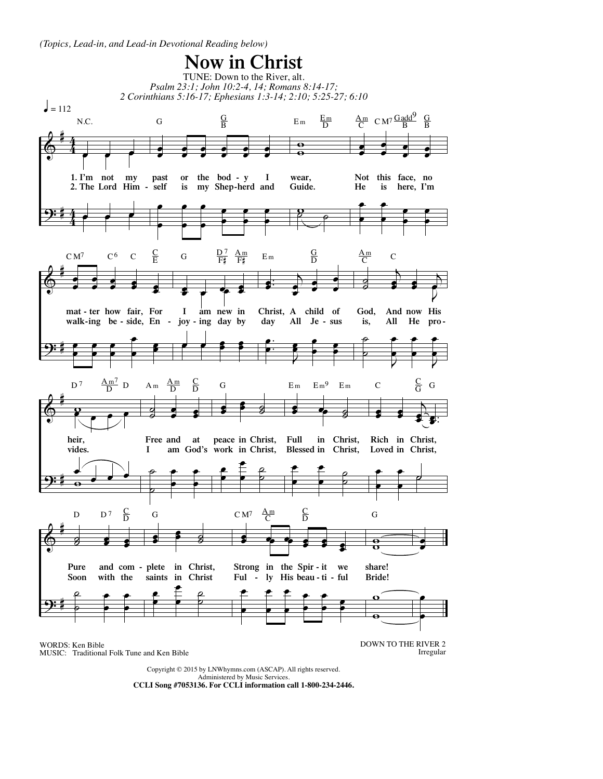*(Topics, Lead-in, and Lead-in Devotional Reading below)*



MUSIC: Traditional Folk Tune and Ken Bible

DOWN TO THE RIVER 2 Irregular

Copyright © 2015 by LNWhymns.com (ASCAP). All rights reserved. Administered by Music Services. **CCLI Song #7053136. For CCLI information call 1-800-234-2446.**